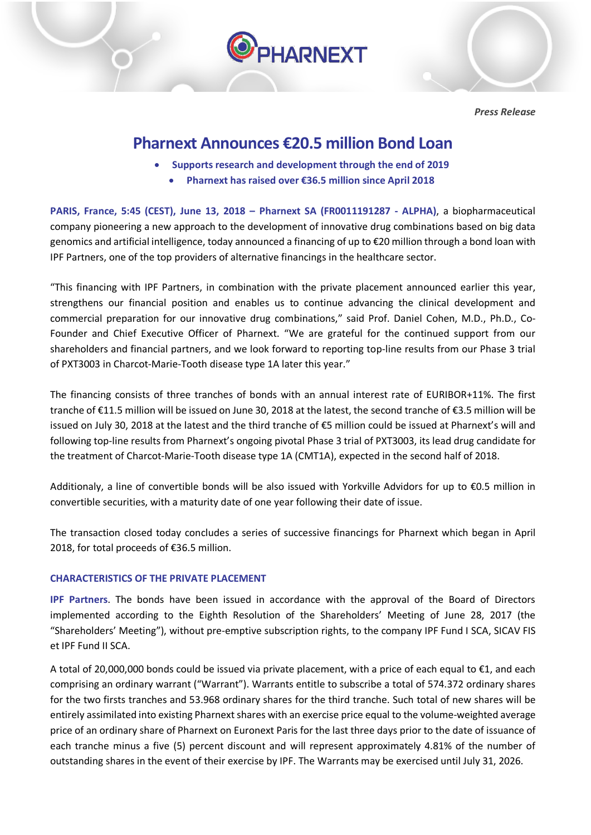

*Press Release*

# **Pharnext Announces €20.5 million Bond Loan**

- **Supports research and development through the end of 2019**
	- **Pharnext has raised over €36.5 million since April 2018**

**PARIS, France, 5:45 (CEST), June 13, 2018 – Pharnext SA (FR0011191287 - ALPHA)**, a biopharmaceutical company pioneering a new approach to the development of innovative drug combinations based on big data genomics and artificial intelligence, today announced a financing of up to €20 million through a bond loan with IPF Partners, one of the top providers of alternative financings in the healthcare sector.

"This financing with IPF Partners, in combination with the private placement announced earlier this year, strengthens our financial position and enables us to continue advancing the clinical development and commercial preparation for our innovative drug combinations," said Prof. Daniel Cohen, M.D., Ph.D., Co-Founder and Chief Executive Officer of Pharnext. "We are grateful for the continued support from our shareholders and financial partners, and we look forward to reporting top-line results from our Phase 3 trial of PXT3003 in Charcot-Marie-Tooth disease type 1A later this year."

The financing consists of three tranches of bonds with an annual interest rate of EURIBOR+11%. The first tranche of €11.5 million will be issued on June 30, 2018 at the latest, the second tranche of €3.5 million will be issued on July 30, 2018 at the latest and the third tranche of €5 million could be issued at Pharnext's will and following top-line results from Pharnext's ongoing pivotal Phase 3 trial of PXT3003, its lead drug candidate for the treatment of Charcot-Marie-Tooth disease type 1A (CMT1A), expected in the second half of 2018.

Additionaly, a line of convertible bonds will be also issued with Yorkville Advidors for up to €0.5 million in convertible securities, with a maturity date of one year following their date of issue.

The transaction closed today concludes a series of successive financings for Pharnext which began in April 2018, for total proceeds of €36.5 million.

## **CHARACTERISTICS OF THE PRIVATE PLACEMENT**

**IPF Partners**. The bonds have been issued in accordance with the approval of the Board of Directors implemented according to the Eighth Resolution of the Shareholders' Meeting of June 28, 2017 (the "Shareholders' Meeting"), without pre-emptive subscription rights, to the company IPF Fund I SCA, SICAV FIS et IPF Fund II SCA.

A total of 20,000,000 bonds could be issued via private placement, with a price of each equal to €1, and each comprising an ordinary warrant ("Warrant"). Warrants entitle to subscribe a total of 574.372 ordinary shares for the two firsts tranches and 53.968 ordinary shares for the third tranche. Such total of new shares will be entirely assimilated into existing Pharnext shares with an exercise price equal to the volume-weighted average price of an ordinary share of Pharnext on Euronext Paris for the last three days prior to the date of issuance of each tranche minus a five (5) percent discount and will represent approximately 4.81% of the number of outstanding shares in the event of their exercise by IPF. The Warrants may be exercised until July 31, 2026.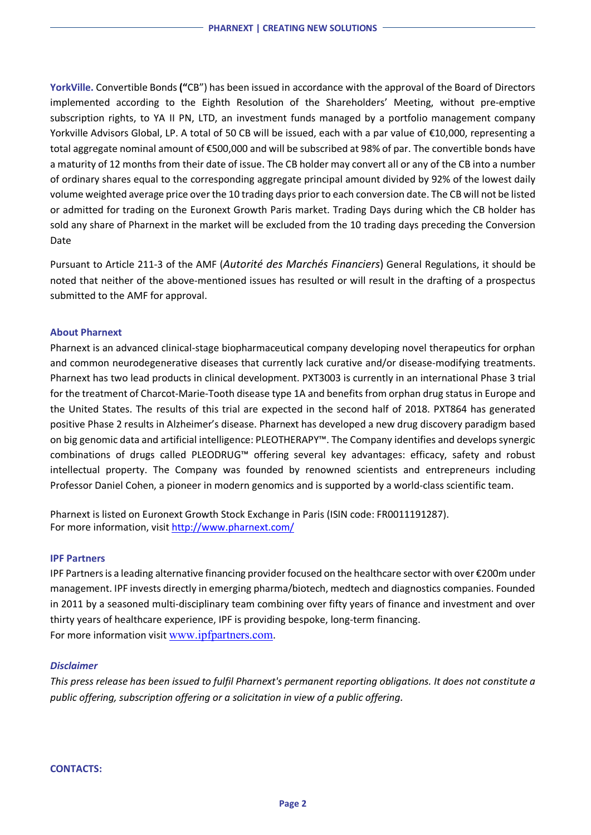**YorkVille.** Convertible Bonds **("**CB") has been issued in accordance with the approval of the Board of Directors implemented according to the Eighth Resolution of the Shareholders' Meeting, without pre-emptive subscription rights, to YA II PN, LTD, an investment funds managed by a portfolio management company Yorkville Advisors Global, LP. A total of 50 CB will be issued, each with a par value of €10,000, representing a total aggregate nominal amount of €500,000 and will be subscribed at 98% of par. The convertible bonds have a maturity of 12 monthsfrom their date of issue. The CB holder may convert all or any of the CB into a number of ordinary shares equal to the corresponding aggregate principal amount divided by 92% of the lowest daily volume weighted average price over the 10 trading days prior to each conversion date. The CB will not be listed or admitted for trading on the Euronext Growth Paris market. Trading Days during which the CB holder has sold any share of Pharnext in the market will be excluded from the 10 trading days preceding the Conversion Date

Pursuant to Article 211-3 of the AMF (*Autorité des Marchés Financiers*) General Regulations, it should be noted that neither of the above-mentioned issues has resulted or will result in the drafting of a prospectus submitted to the AMF for approval.

#### **About Pharnext**

Pharnext is an advanced clinical-stage biopharmaceutical company developing novel therapeutics for orphan and common neurodegenerative diseases that currently lack curative and/or disease-modifying treatments. Pharnext has two lead products in clinical development. PXT3003 is currently in an international Phase 3 trial for the treatment of Charcot-Marie-Tooth disease type 1A and benefits from orphan drug status in Europe and the United States. The results of this trial are expected in the second half of 2018. PXT864 has generated positive Phase 2 results in Alzheimer's disease. Pharnext has developed a new drug discovery paradigm based on big genomic data and artificial intelligence: PLEOTHERAPY™. The Company identifies and develops synergic combinations of drugs called PLEODRUG™ offering several key advantages: efficacy, safety and robust intellectual property. The Company was founded by renowned scientists and entrepreneurs including Professor Daniel Cohen, a pioneer in modern genomics and is supported by a world-class scientific team.

Pharnext is listed on Euronext Growth Stock Exchange in Paris (ISIN code: FR0011191287). For more information, visit http://www.pharnext.com/

#### **IPF Partners**

IPF Partners is a leading alternative financing provider focused on the healthcare sector with over €200m under management. IPF invests directly in emerging pharma/biotech, medtech and diagnostics companies. Founded in 2011 by a seasoned multi-disciplinary team combining over fifty years of finance and investment and over thirty years of healthcare experience, IPF is providing bespoke, long-term financing. For more information visit www.ipfpartners.com.

#### *Disclaimer*

*This press release has been issued to fulfil Pharnext's permanent reporting obligations. It does not constitute a public offering, subscription offering or a solicitation in view of a public offering.*